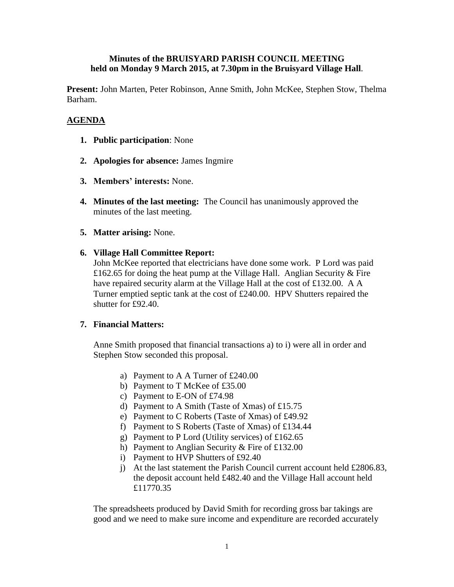## **Minutes of the BRUISYARD PARISH COUNCIL MEETING held on Monday 9 March 2015, at 7.30pm in the Bruisyard Village Hall**.

**Present:** John Marten, Peter Robinson, Anne Smith, John McKee, Stephen Stow, Thelma Barham.

# **AGENDA**

- **1. Public participation**: None
- **2. Apologies for absence:** James Ingmire
- **3. Members' interests:** None.
- **4. Minutes of the last meeting:** The Council has unanimously approved the minutes of the last meeting.
- **5. Matter arising:** None.
- **6. Village Hall Committee Report:**

John McKee reported that electricians have done some work. P Lord was paid £162.65 for doing the heat pump at the Village Hall. Anglian Security  $&$  Fire have repaired security alarm at the Village Hall at the cost of £132.00. A A Turner emptied septic tank at the cost of £240.00. HPV Shutters repaired the shutter for £92.40.

### **7. Financial Matters:**

Anne Smith proposed that financial transactions a) to i) were all in order and Stephen Stow seconded this proposal.

- a) Payment to A A Turner of £240.00
- b) Payment to T McKee of £35.00
- c) Payment to E-ON of £74.98
- d) Payment to A Smith (Taste of Xmas) of £15.75
- e) Payment to C Roberts (Taste of Xmas) of £49.92
- f) Payment to S Roberts (Taste of Xmas) of £134.44
- g) Payment to P Lord (Utility services) of £162.65
- h) Payment to Anglian Security & Fire of £132.00
- i) Payment to HVP Shutters of £92.40
- j) At the last statement the Parish Council current account held £2806.83, the deposit account held £482.40 and the Village Hall account held £11770.35

The spreadsheets produced by David Smith for recording gross bar takings are good and we need to make sure income and expenditure are recorded accurately